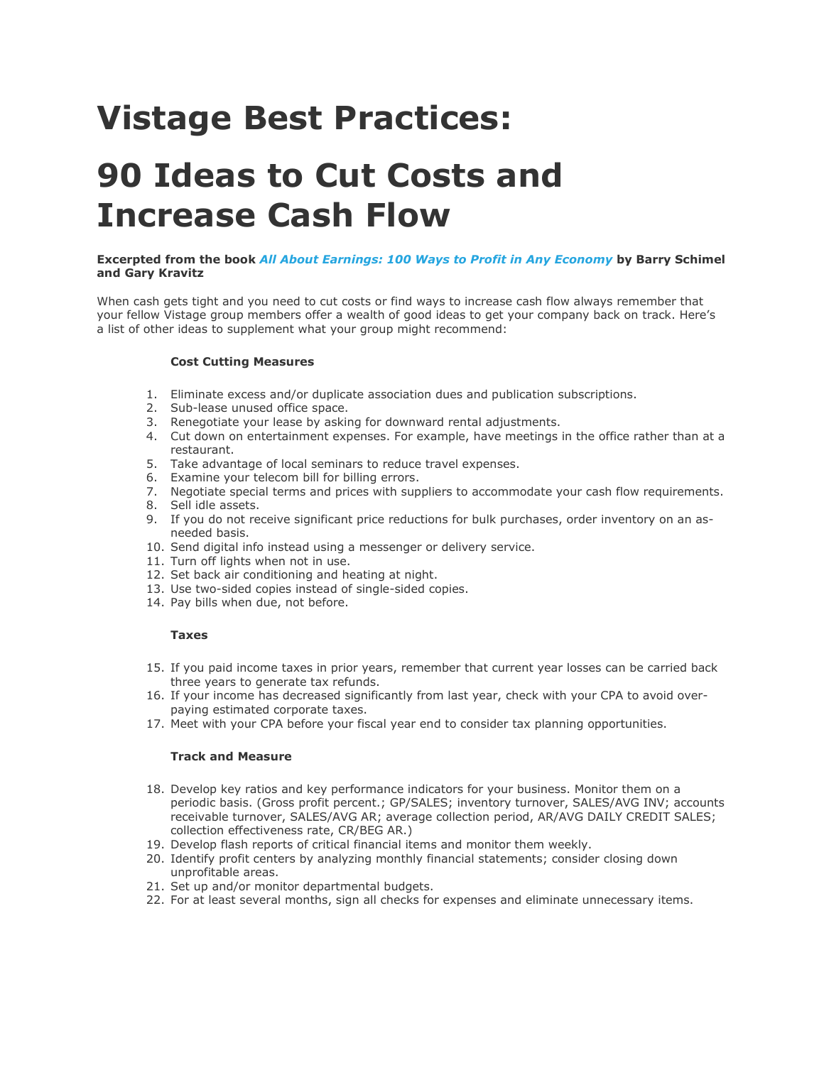# Vistage Best Practices:

## 90 Ideas to Cut Costs and Increase Cash Flow

## Excerpted from the book All About Earnings: 100 Ways to Profit in Any Economy by Barry Schimel and Gary Kravitz

When cash gets tight and you need to cut costs or find ways to increase cash flow always remember that your fellow Vistage group members offer a wealth of good ideas to get your company back on track. Here's a list of other ideas to supplement what your group might recommend:

## Cost Cutting Measures

- 1. Eliminate excess and/or duplicate association dues and publication subscriptions.
- 2. Sub-lease unused office space.
- 3. Renegotiate your lease by asking for downward rental adjustments.
- 4. Cut down on entertainment expenses. For example, have meetings in the office rather than at a restaurant.
- 5. Take advantage of local seminars to reduce travel expenses.
- 6. Examine your telecom bill for billing errors.
- 7. Negotiate special terms and prices with suppliers to accommodate your cash flow requirements.
- 8. Sell idle assets.
- 9. If you do not receive significant price reductions for bulk purchases, order inventory on an asneeded basis.
- 10. Send digital info instead using a messenger or delivery service.
- 11. Turn off lights when not in use.
- 12. Set back air conditioning and heating at night.
- 13. Use two-sided copies instead of single-sided copies.
- 14. Pay bills when due, not before.

## Taxes

- 15. If you paid income taxes in prior years, remember that current year losses can be carried back three years to generate tax refunds.
- 16. If your income has decreased significantly from last year, check with your CPA to avoid overpaying estimated corporate taxes.
- 17. Meet with your CPA before your fiscal year end to consider tax planning opportunities.

#### Track and Measure

- 18. Develop key ratios and key performance indicators for your business. Monitor them on a periodic basis. (Gross profit percent.; GP/SALES; inventory turnover, SALES/AVG INV; accounts receivable turnover, SALES/AVG AR; average collection period, AR/AVG DAILY CREDIT SALES; collection effectiveness rate, CR/BEG AR.)
- 19. Develop flash reports of critical financial items and monitor them weekly.
- 20. Identify profit centers by analyzing monthly financial statements; consider closing down unprofitable areas.
- 21. Set up and/or monitor departmental budgets.
- 22. For at least several months, sign all checks for expenses and eliminate unnecessary items.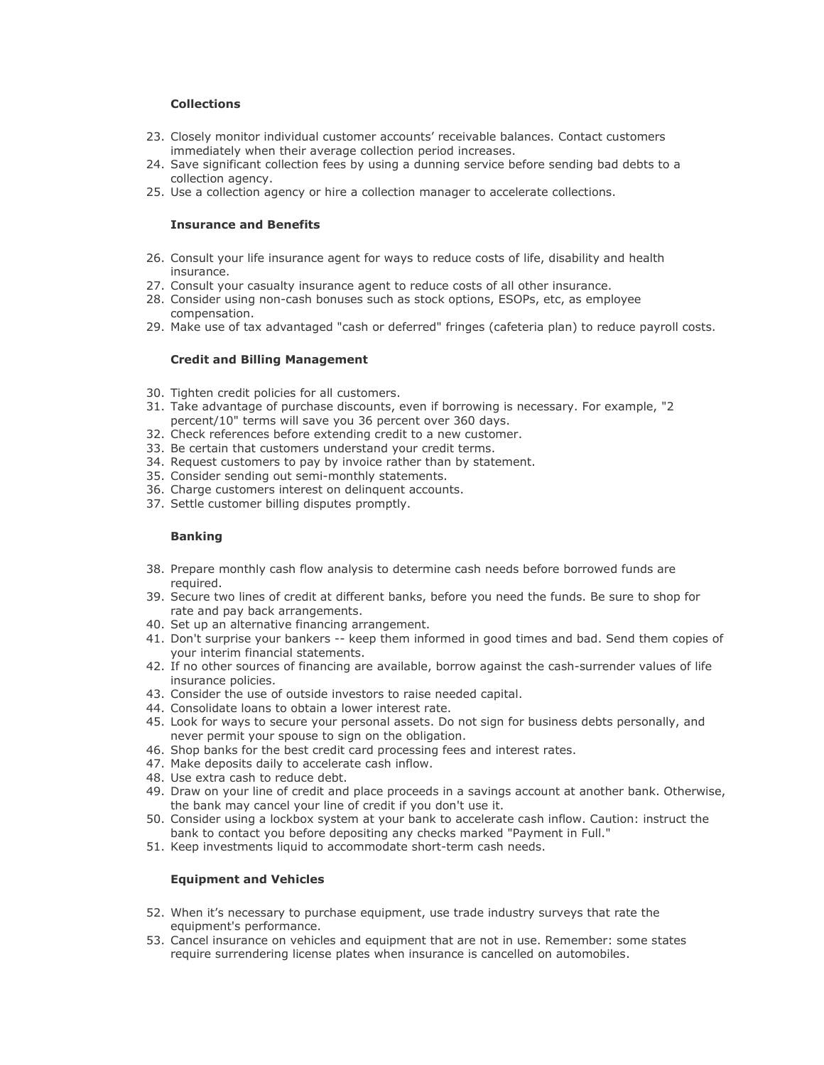## Collections

- 23. Closely monitor individual customer accounts' receivable balances. Contact customers immediately when their average collection period increases.
- 24. Save significant collection fees by using a dunning service before sending bad debts to a collection agency.
- 25. Use a collection agency or hire a collection manager to accelerate collections.

#### Insurance and Benefits

- 26. Consult your life insurance agent for ways to reduce costs of life, disability and health insurance.
- 27. Consult your casualty insurance agent to reduce costs of all other insurance.
- 28. Consider using non-cash bonuses such as stock options, ESOPs, etc, as employee compensation.
- 29. Make use of tax advantaged "cash or deferred" fringes (cafeteria plan) to reduce payroll costs.

#### Credit and Billing Management

- 30. Tighten credit policies for all customers.
- 31. Take advantage of purchase discounts, even if borrowing is necessary. For example, "2 percent/10" terms will save you 36 percent over 360 days.
- 32. Check references before extending credit to a new customer.
- 33. Be certain that customers understand your credit terms.
- 34. Request customers to pay by invoice rather than by statement.
- 35. Consider sending out semi-monthly statements.
- 36. Charge customers interest on delinquent accounts.
- 37. Settle customer billing disputes promptly.

## Banking

- 38. Prepare monthly cash flow analysis to determine cash needs before borrowed funds are required.
- 39. Secure two lines of credit at different banks, before you need the funds. Be sure to shop for rate and pay back arrangements.
- 40. Set up an alternative financing arrangement.
- 41. Don't surprise your bankers -- keep them informed in good times and bad. Send them copies of your interim financial statements.
- 42. If no other sources of financing are available, borrow against the cash-surrender values of life insurance policies.
- 43. Consider the use of outside investors to raise needed capital.
- 44. Consolidate loans to obtain a lower interest rate.
- 45. Look for ways to secure your personal assets. Do not sign for business debts personally, and never permit your spouse to sign on the obligation.
- 46. Shop banks for the best credit card processing fees and interest rates.
- 47. Make deposits daily to accelerate cash inflow.
- 48. Use extra cash to reduce debt.
- 49. Draw on your line of credit and place proceeds in a savings account at another bank. Otherwise, the bank may cancel your line of credit if you don't use it.
- 50. Consider using a lockbox system at your bank to accelerate cash inflow. Caution: instruct the bank to contact you before depositing any checks marked "Payment in Full."
- 51. Keep investments liquid to accommodate short-term cash needs.

## Equipment and Vehicles

- 52. When it's necessary to purchase equipment, use trade industry surveys that rate the equipment's performance.
- 53. Cancel insurance on vehicles and equipment that are not in use. Remember: some states require surrendering license plates when insurance is cancelled on automobiles.